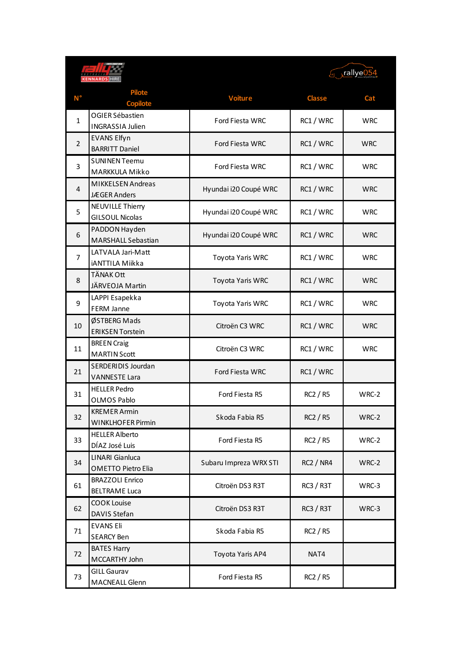|                | <b>ENNARDS</b>                                  |                        | Frallye054       |            |
|----------------|-------------------------------------------------|------------------------|------------------|------------|
| Ν°             | <b>Pilote</b><br><b>Copilote</b>                | <b>Voiture</b>         | <b>Classe</b>    | Cat        |
| 1              | OGIER Sébastien<br><b>INGRASSIA Julien</b>      | Ford Fiesta WRC        | RC1 / WRC        | <b>WRC</b> |
| $\overline{2}$ | <b>EVANS Elfyn</b><br><b>BARRITT Daniel</b>     | Ford Fiesta WRC        | RC1 / WRC        | <b>WRC</b> |
| 3              | <b>SUNINEN Teemu</b><br>MARKKULA Mikko          | Ford Fiesta WRC        | RC1 / WRC        | <b>WRC</b> |
| $\overline{4}$ | <b>MIKKELSEN Andreas</b><br><b>JÆGER Anders</b> | Hyundai i20 Coupé WRC  | RC1 / WRC        | <b>WRC</b> |
| 5              | NEUVILLE Thierry<br><b>GILSOUL Nicolas</b>      | Hyundai i20 Coupé WRC  | RC1 / WRC        | <b>WRC</b> |
| 6              | PADDON Hayden<br><b>MARSHALL Sebastian</b>      | Hyundai i20 Coupé WRC  | RC1 / WRC        | <b>WRC</b> |
| 7              | LATVALA Jari-Matt<br>iANTTILA Miikka            | Toyota Yaris WRC       | RC1 / WRC        | <b>WRC</b> |
| 8              | <b>TÄNAK Ott</b><br>JÄRVEOJA Martin             | Toyota Yaris WRC       | RC1 / WRC        | <b>WRC</b> |
| 9              | LAPPI Esapekka<br>FERM Janne                    | Toyota Yaris WRC       | RC1 / WRC        | <b>WRC</b> |
| 10             | ØSTBERG Mads<br><b>ERIKSEN Torstein</b>         | Citroën C3 WRC         | RC1 / WRC        | <b>WRC</b> |
| 11             | <b>BREEN Craig</b><br><b>MARTIN Scott</b>       | Citroën C3 WRC         | RC1 / WRC        | <b>WRC</b> |
| 21             | SERDERIDIS Jourdan<br><b>VANNESTE Lara</b>      | Ford Fiesta WRC        | RC1 / WRC        |            |
| 31             | <b>HELLER Pedro</b><br>OLMOS Pablo              | Ford Fiesta R5         | <b>RC2 / R5</b>  | WRC-2      |
| 32             | <b>KREMER Armin</b><br><b>WINKLHOFER Pirmin</b> | Skoda Fabia R5         | RC2 / R5         | WRC-2      |
| 33             | <b>HELLER Alberto</b><br>DÍAZ José Luis         | Ford Fiesta R5         | <b>RC2 / R5</b>  | WRC-2      |
| 34             | LINARI Gianluca<br><b>OMETTO Pietro Elia</b>    | Subaru Impreza WRX STI | <b>RC2 / NR4</b> | WRC-2      |
| 61             | <b>BRAZZOLI Enrico</b><br><b>BELTRAME Luca</b>  | Citroën DS3 R3T        | <b>RC3 / R3T</b> | WRC-3      |
| 62             | <b>COOK Louise</b><br>DAVIS Stefan              | Citroën DS3 R3T        | <b>RC3 / R3T</b> | WRC-3      |
| 71             | <b>EVANS Eli</b><br><b>SEARCY Ben</b>           | Skoda Fabia R5         | RC2 / R5         |            |
| 72             | <b>BATES Harry</b><br>MCCARTHY John             | Toyota Yaris AP4       | NAT4             |            |
| 73             | <b>GILL Gaurav</b><br>MACNEALL Glenn            | Ford Fiesta R5         | RC2 / R5         |            |